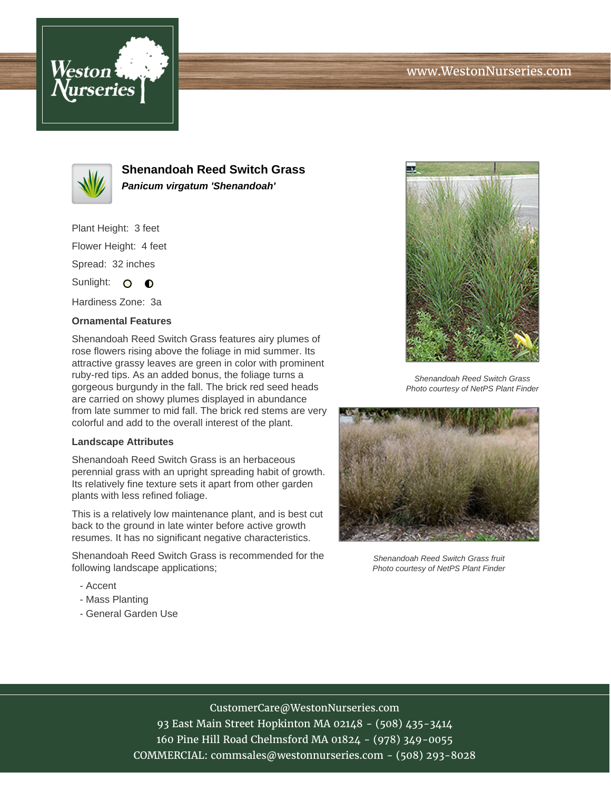



**Shenandoah Reed Switch Grass Panicum virgatum 'Shenandoah'**

Plant Height: 3 feet Flower Height: 4 feet Spread: 32 inches

Sunlight: O O

Hardiness Zone: 3a

## **Ornamental Features**

Shenandoah Reed Switch Grass features airy plumes of rose flowers rising above the foliage in mid summer. Its attractive grassy leaves are green in color with prominent ruby-red tips. As an added bonus, the foliage turns a gorgeous burgundy in the fall. The brick red seed heads are carried on showy plumes displayed in abundance from late summer to mid fall. The brick red stems are very colorful and add to the overall interest of the plant.

## **Landscape Attributes**

Shenandoah Reed Switch Grass is an herbaceous perennial grass with an upright spreading habit of growth. Its relatively fine texture sets it apart from other garden plants with less refined foliage.

This is a relatively low maintenance plant, and is best cut back to the ground in late winter before active growth resumes. It has no significant negative characteristics.

Shenandoah Reed Switch Grass is recommended for the following landscape applications;

- Accent
- Mass Planting
- General Garden Use



Shenandoah Reed Switch Grass Photo courtesy of NetPS Plant Finder



Shenandoah Reed Switch Grass fruit Photo courtesy of NetPS Plant Finder

## CustomerCare@WestonNurseries.com

93 East Main Street Hopkinton MA 02148 - (508) 435-3414 160 Pine Hill Road Chelmsford MA 01824 - (978) 349-0055 COMMERCIAL: commsales@westonnurseries.com - (508) 293-8028